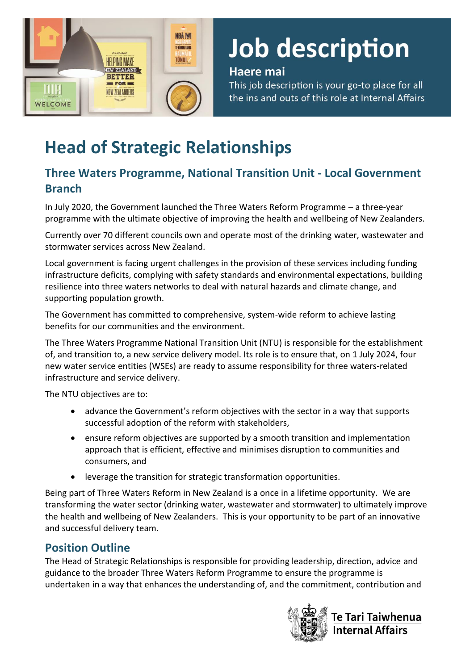

# **Job description**

# Haere mai

This job description is your go-to place for all the ins and outs of this role at Internal Affairs

# **Head of Strategic Relationships**

# **Three Waters Programme, National Transition Unit - Local Government Branch**

In July 2020, the Government launched the Three Waters Reform Programme – a three-year programme with the ultimate objective of improving the health and wellbeing of New Zealanders.

Currently over 70 different councils own and operate most of the drinking water, wastewater and stormwater services across New Zealand.

Local government is facing urgent challenges in the provision of these services including funding infrastructure deficits, complying with safety standards and environmental expectations, building resilience into three waters networks to deal with natural hazards and climate change, and supporting population growth.

The Government has committed to comprehensive, system-wide reform to achieve lasting benefits for our communities and the environment.

The Three Waters Programme National Transition Unit (NTU) is responsible for the establishment of, and transition to, a new service delivery model. Its role is to ensure that, on 1 July 2024, four new water service entities (WSEs) are ready to assume responsibility for three waters-related infrastructure and service delivery.

The NTU objectives are to:

- advance the Government's reform objectives with the sector in a way that supports successful adoption of the reform with stakeholders,
- ensure reform objectives are supported by a smooth transition and implementation approach that is efficient, effective and minimises disruption to communities and consumers, and
- leverage the transition for strategic transformation opportunities.

Being part of Three Waters Reform in New Zealand is a once in a lifetime opportunity. We are transforming the water sector (drinking water, wastewater and stormwater) to ultimately improve the health and wellbeing of New Zealanders. This is your opportunity to be part of an innovative and successful delivery team.

# **Position Outline**

The Head of Strategic Relationships is responsible for providing leadership, direction, advice and guidance to the broader Three Waters Reform Programme to ensure the programme is undertaken in a way that enhances the understanding of, and the commitment, contribution and



Te Tari Taiwhenua Internal Affairs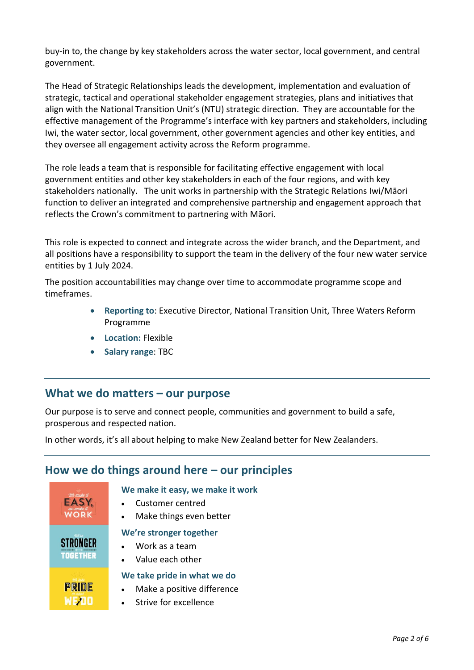buy-in to, the change by key stakeholders across the water sector, local government, and central government.

The Head of Strategic Relationships leads the development, implementation and evaluation of strategic, tactical and operational stakeholder engagement strategies, plans and initiatives that align with the National Transition Unit's (NTU) strategic direction. They are accountable for the effective management of the Programme's interface with key partners and stakeholders, including Iwi, the water sector, local government, other government agencies and other key entities, and they oversee all engagement activity across the Reform programme.

The role leads a team that is responsible for facilitating effective engagement with local government entities and other key stakeholders in each of the four regions, and with key stakeholders nationally. The unit works in partnership with the Strategic Relations Iwi/Māori function to deliver an integrated and comprehensive partnership and engagement approach that reflects the Crown's commitment to partnering with Māori.

This role is expected to connect and integrate across the wider branch, and the Department, and all positions have a responsibility to support the team in the delivery of the four new water service entities by 1 July 2024.

The position accountabilities may change over time to accommodate programme scope and timeframes.

- **Reporting to**: Executive Director, National Transition Unit, Three Waters Reform Programme
- **Location:** Flexible
- **Salary range**: TBC

### **What we do matters – our purpose**

Our purpose is to serve and connect people, communities and government to build a safe, prosperous and respected nation.

In other words, it's all about helping to make New Zealand better for New Zealanders.

# **How we do things around here – our principles**



#### **We make it easy, we make it work**

- Customer centred
- Make things even better

#### **We're stronger together**

- Work as a team
- Value each other

#### **We take pride in what we do**

- Make a positive difference
- Strive for excellence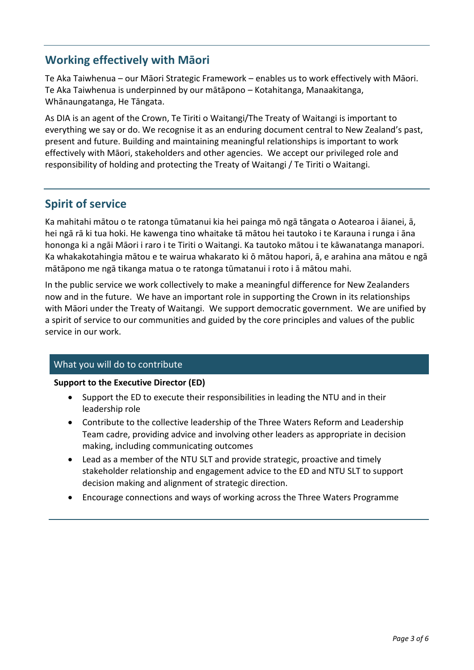# **Working effectively with Māori**

Te Aka Taiwhenua – our Māori Strategic Framework – enables us to work effectively with Māori. Te Aka Taiwhenua is underpinned by our mātāpono – Kotahitanga, Manaakitanga, Whānaungatanga, He Tāngata.

As DIA is an agent of the Crown, Te Tiriti o Waitangi/The Treaty of Waitangi is important to everything we say or do. We recognise it as an enduring document central to New Zealand's past, present and future. Building and maintaining meaningful relationships is important to work effectively with Māori, stakeholders and other agencies. We accept our privileged role and responsibility of holding and protecting the Treaty of Waitangi / Te Tiriti o Waitangi.

# **Spirit of service**

Ka mahitahi mātou o te ratonga tūmatanui kia hei painga mō ngā tāngata o Aotearoa i āianei, ā, hei ngā rā ki tua hoki. He kawenga tino whaitake tā mātou hei tautoko i te Karauna i runga i āna hononga ki a ngāi Māori i raro i te Tiriti o Waitangi. Ka tautoko mātou i te kāwanatanga manapori. Ka whakakotahingia mātou e te wairua whakarato ki ō mātou hapori, ā, e arahina ana mātou e ngā mātāpono me ngā tikanga matua o te ratonga tūmatanui i roto i ā mātou mahi.

In the public service we work collectively to make a meaningful difference for New Zealanders now and in the future. We have an important role in supporting the Crown in its relationships with Māori under the Treaty of Waitangi. We support democratic government. We are unified by a spirit of service to our communities and guided by the core principles and values of the public service in our work.

#### What you will do to contribute

#### **Support to the Executive Director (ED)**

- Support the ED to execute their responsibilities in leading the NTU and in their leadership role
- Contribute to the collective leadership of the Three Waters Reform and Leadership Team cadre, providing advice and involving other leaders as appropriate in decision making, including communicating outcomes
- Lead as a member of the NTU SLT and provide strategic, proactive and timely stakeholder relationship and engagement advice to the ED and NTU SLT to support decision making and alignment of strategic direction.
- Encourage connections and ways of working across the Three Waters Programme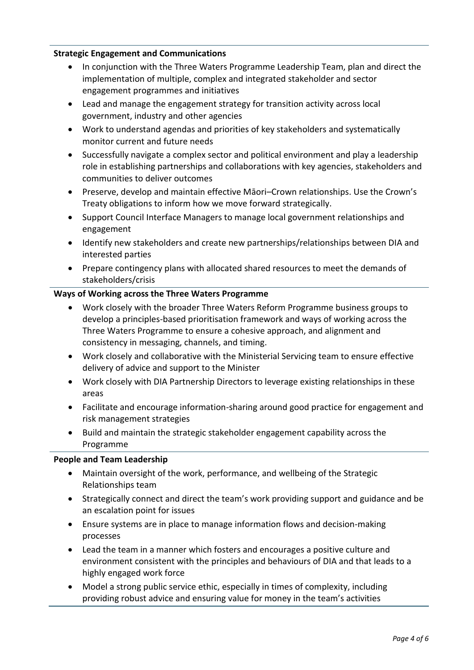#### **Strategic Engagement and Communications**

- In conjunction with the Three Waters Programme Leadership Team, plan and direct the implementation of multiple, complex and integrated stakeholder and sector engagement programmes and initiatives
- Lead and manage the engagement strategy for transition activity across local government, industry and other agencies
- Work to understand agendas and priorities of key stakeholders and systematically monitor current and future needs
- Successfully navigate a complex sector and political environment and play a leadership role in establishing partnerships and collaborations with key agencies, stakeholders and communities to deliver outcomes
- Preserve, develop and maintain effective Māori–Crown relationships. Use the Crown's Treaty obligations to inform how we move forward strategically.
- Support Council Interface Managers to manage local government relationships and engagement
- Identify new stakeholders and create new partnerships/relationships between DIA and interested parties
- Prepare contingency plans with allocated shared resources to meet the demands of stakeholders/crisis

#### **Ways of Working across the Three Waters Programme**

- Work closely with the broader Three Waters Reform Programme business groups to develop a principles-based prioritisation framework and ways of working across the Three Waters Programme to ensure a cohesive approach, and alignment and consistency in messaging, channels, and timing.
- Work closely and collaborative with the Ministerial Servicing team to ensure effective delivery of advice and support to the Minister
- Work closely with DIA Partnership Directors to leverage existing relationships in these areas
- Facilitate and encourage information-sharing around good practice for engagement and risk management strategies
- Build and maintain the strategic stakeholder engagement capability across the Programme

#### **People and Team Leadership**

- Maintain oversight of the work, performance, and wellbeing of the Strategic Relationships team
- Strategically connect and direct the team's work providing support and guidance and be an escalation point for issues
- Ensure systems are in place to manage information flows and decision-making processes
- Lead the team in a manner which fosters and encourages a positive culture and environment consistent with the principles and behaviours of DIA and that leads to a highly engaged work force
- Model a strong public service ethic, especially in times of complexity, including providing robust advice and ensuring value for money in the team's activities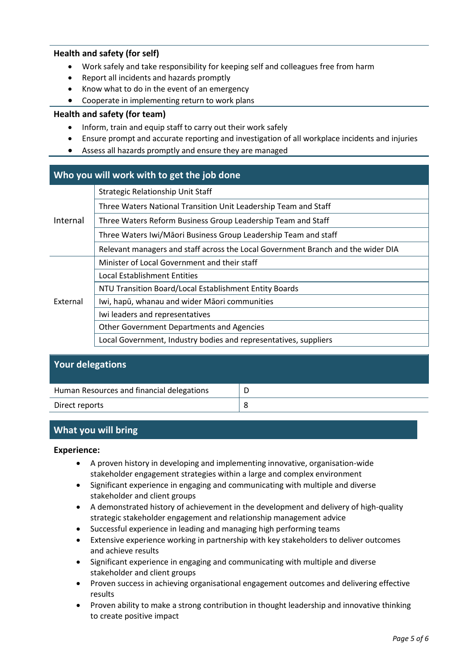#### **Health and safety (for self)**

- Work safely and take responsibility for keeping self and colleagues free from harm
- Report all incidents and hazards promptly
- Know what to do in the event of an emergency
- Cooperate in implementing return to work plans

#### **Health and safety (for team)**

- Inform, train and equip staff to carry out their work safely
- Ensure prompt and accurate reporting and investigation of all workplace incidents and injuries
- Assess all hazards promptly and ensure they are managed

#### **Who you will work with to get the job done**

| Internal | <b>Strategic Relationship Unit Staff</b>                                         |
|----------|----------------------------------------------------------------------------------|
|          | Three Waters National Transition Unit Leadership Team and Staff                  |
|          | Three Waters Reform Business Group Leadership Team and Staff                     |
|          | Three Waters Iwi/Māori Business Group Leadership Team and staff                  |
|          | Relevant managers and staff across the Local Government Branch and the wider DIA |
| External | Minister of Local Government and their staff                                     |
|          | <b>Local Establishment Entities</b>                                              |
|          | NTU Transition Board/Local Establishment Entity Boards                           |
|          | Iwi, hapū, whanau and wider Māori communities                                    |
|          | Iwi leaders and representatives                                                  |
|          | Other Government Departments and Agencies                                        |
|          | Local Government, Industry bodies and representatives, suppliers                 |

#### **Your delegations**

| Human Resources and financial delegations |  |
|-------------------------------------------|--|
| Direct reports                            |  |

#### **What you will bring**

#### **Experience:**

- A proven history in developing and implementing innovative, organisation-wide stakeholder engagement strategies within a large and complex environment
- Significant experience in engaging and communicating with multiple and diverse stakeholder and client groups
- A demonstrated history of achievement in the development and delivery of high-quality strategic stakeholder engagement and relationship management advice
- Successful experience in leading and managing high performing teams
- Extensive experience working in partnership with key stakeholders to deliver outcomes and achieve results
- Significant experience in engaging and communicating with multiple and diverse stakeholder and client groups
- Proven success in achieving organisational engagement outcomes and delivering effective results
- Proven ability to make a strong contribution in thought leadership and innovative thinking to create positive impact